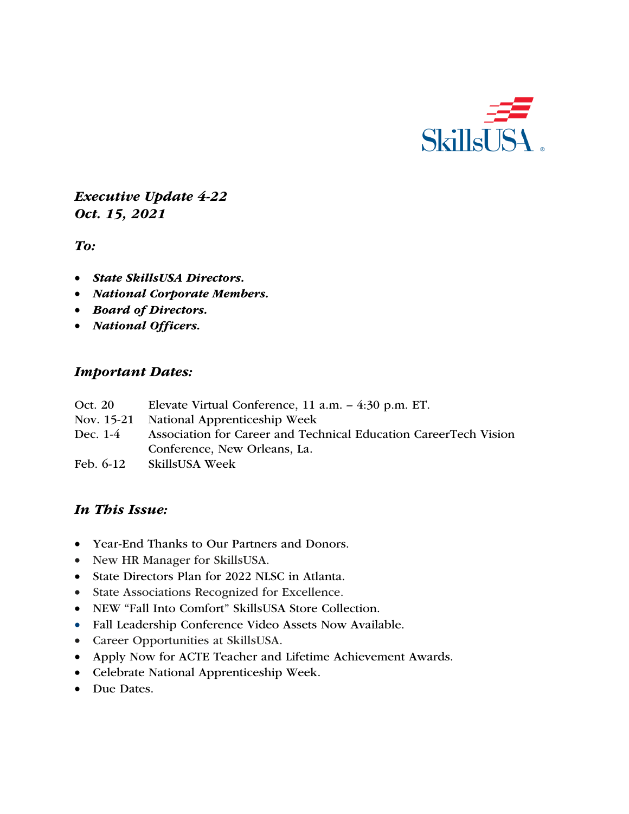

*Executive Update 4-22 Oct. 15, 2021*

*To:* 

- *State SkillsUSA Directors.*
- *National Corporate Members.*
- *Board of Directors.*
- *National Officers.*

#### *Important Dates:*

- Oct. 20 Elevate Virtual Conference, 11 a.m. 4:30 p.m. ET.
- Nov. 15-21 National Apprenticeship Week
- Dec. 1-4 Association for Career and Technical Education CareerTech Vision Conference, New Orleans, La.
- Feb. 6-12 SkillsUSA Week

# *In This Issue:*

- Year-End Thanks to Our Partners and Donors.
- New HR Manager for SkillsUSA.
- State Directors Plan for 2022 NLSC in Atlanta.
- State Associations Recognized for Excellence.
- NEW "Fall Into Comfort" SkillsUSA Store Collection.
- Fall Leadership Conference Video Assets Now Available.
- Career Opportunities at SkillsUSA.
- Apply Now for ACTE Teacher and Lifetime Achievement Awards.
- Celebrate National Apprenticeship Week.
- Due Dates.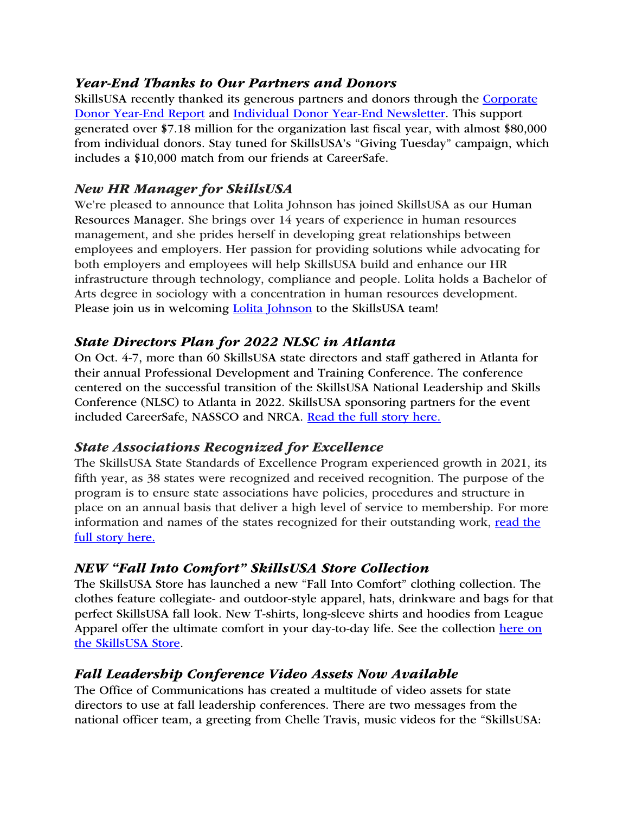# *Year-End Thanks to Our Partners and Donors*

SkillsUSA recently thanked its generous partners and donors through the Corporate Donor Year-End Report and Individual Donor Year-End Newsletter. This support generated over \$7.18 million for the organization last fiscal year, with almost \$80,000 from individual donors. Stay tuned for SkillsUSA's "Giving Tuesday" campaign, which includes a \$10,000 match from our friends at CareerSafe.

# *New HR Manager for SkillsUSA*

We're pleased to announce that Lolita Johnson has joined SkillsUSA as our Human Resources Manager. She brings over 14 years of experience in human resources management, and she prides herself in developing great relationships between employees and employers. Her passion for providing solutions while advocating for both employers and employees will help SkillsUSA build and enhance our HR infrastructure through technology, compliance and people. Lolita holds a Bachelor of Arts degree in sociology with a concentration in human resources development. Please join us in welcoming Lolita Johnson to the SkillsUSA team!

# *State Directors Plan for 2022 NLSC in Atlanta*

On Oct. 4-7, more than 60 SkillsUSA state directors and staff gathered in Atlanta for their annual Professional Development and Training Conference. The conference centered on the successful transition of the SkillsUSA National Leadership and Skills Conference (NLSC) to Atlanta in 2022. SkillsUSA sponsoring partners for the event included CareerSafe, NASSCO and NRCA. Read the full story here.

# *State Associations Recognized for Excellence*

The SkillsUSA State Standards of Excellence Program experienced growth in 2021, its fifth year, as 38 states were recognized and received recognition. The purpose of the program is to ensure state associations have policies, procedures and structure in place on an annual basis that deliver a high level of service to membership. For more information and names of the states recognized for their outstanding work, read the full story here.

# *NEW "Fall Into Comfort" SkillsUSA Store Collection*

The SkillsUSA Store has launched a new "Fall Into Comfort" clothing collection. The clothes feature collegiate- and outdoor-style apparel, hats, drinkware and bags for that perfect SkillsUSA fall look. New T-shirts, long-sleeve shirts and hoodies from League Apparel offer the ultimate comfort in your day-to-day life. See the collection here on the SkillsUSA Store.

# *Fall Leadership Conference Video Assets Now Available*

The Office of Communications has created a multitude of video assets for state directors to use at fall leadership conferences. There are two messages from the national officer team, a greeting from Chelle Travis, music videos for the "SkillsUSA: